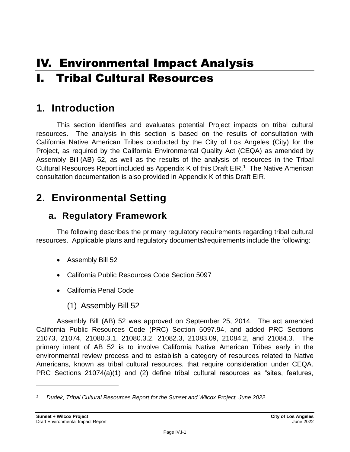# IV. Environmental Impact Analysis I. Tribal Cultural Resources

# **1. Introduction**

This section identifies and evaluates potential Project impacts on tribal cultural resources. The analysis in this section is based on the results of consultation with California Native American Tribes conducted by the City of Los Angeles (City) for the Project, as required by the California Environmental Quality Act (CEQA) as amended by Assembly Bill (AB) 52, as well as the results of the analysis of resources in the Tribal Cultural Resources Report included as Appendix K of this Draft EIR.<sup>1</sup> The Native American consultation documentation is also provided in Appendix K of this Draft EIR.

# **2. Environmental Setting**

### **a. Regulatory Framework**

The following describes the primary regulatory requirements regarding tribal cultural resources. Applicable plans and regulatory documents/requirements include the following:

- Assembly Bill 52
- California Public Resources Code Section 5097
- California Penal Code
	- (1) Assembly Bill 52

Assembly Bill (AB) 52 was approved on September 25, 2014. The act amended California Public Resources Code (PRC) Section 5097.94, and added PRC Sections 21073, 21074, 21080.3.1, 21080.3.2, 21082.3, 21083.09, 21084.2, and 21084.3. The primary intent of AB 52 is to involve California Native American Tribes early in the environmental review process and to establish a category of resources related to Native Americans, known as tribal cultural resources, that require consideration under CEQA. PRC Sections 21074(a)(1) and (2) define tribal cultural resources as "sites, features,

*<sup>1</sup> Dudek, Tribal Cultural Resources Report for the Sunset and Wilcox Project, June 2022.*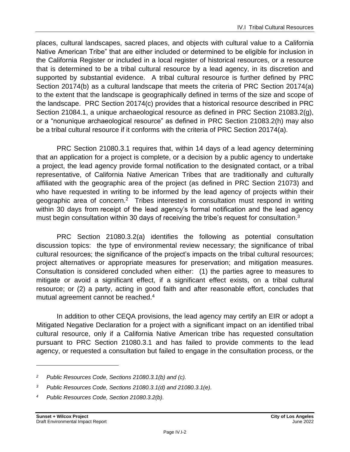places, cultural landscapes, sacred places, and objects with cultural value to a California Native American Tribe" that are either included or determined to be eligible for inclusion in the California Register or included in a local register of historical resources, or a resource that is determined to be a tribal cultural resource by a lead agency, in its discretion and supported by substantial evidence. A tribal cultural resource is further defined by PRC Section 20174(b) as a cultural landscape that meets the criteria of PRC Section 20174(a) to the extent that the landscape is geographically defined in terms of the size and scope of the landscape. PRC Section 20174(c) provides that a historical resource described in PRC Section 21084.1, a unique archaeological resource as defined in PRC Section 21083.2(g), or a "nonunique archaeological resource" as defined in PRC Section 21083.2(h) may also be a tribal cultural resource if it conforms with the criteria of PRC Section 20174(a).

PRC Section 21080.3.1 requires that, within 14 days of a lead agency determining that an application for a project is complete, or a decision by a public agency to undertake a project, the lead agency provide formal notification to the designated contact, or a tribal representative, of California Native American Tribes that are traditionally and culturally affiliated with the geographic area of the project (as defined in PRC Section 21073) and who have requested in writing to be informed by the lead agency of projects within their geographic area of concern.<sup>2</sup> Tribes interested in consultation must respond in writing within 30 days from receipt of the lead agency's formal notification and the lead agency must begin consultation within 30 days of receiving the tribe's request for consultation.<sup>3</sup>

PRC Section 21080.3.2(a) identifies the following as potential consultation discussion topics: the type of environmental review necessary; the significance of tribal cultural resources; the significance of the project's impacts on the tribal cultural resources; project alternatives or appropriate measures for preservation; and mitigation measures. Consultation is considered concluded when either: (1) the parties agree to measures to mitigate or avoid a significant effect, if a significant effect exists, on a tribal cultural resource; or (2) a party, acting in good faith and after reasonable effort, concludes that mutual agreement cannot be reached.<sup>4</sup>

In addition to other CEQA provisions, the lead agency may certify an EIR or adopt a Mitigated Negative Declaration for a project with a significant impact on an identified tribal cultural resource, only if a California Native American tribe has requested consultation pursuant to PRC Section 21080.3.1 and has failed to provide comments to the lead agency, or requested a consultation but failed to engage in the consultation process, or the

*<sup>2</sup> Public Resources Code, Sections 21080.3.1(b) and (c).*

*<sup>3</sup> Public Resources Code, Sections 21080.3.1(d) and 21080.3.1(e).*

*<sup>4</sup> Public Resources Code, Section 21080.3.2(b).*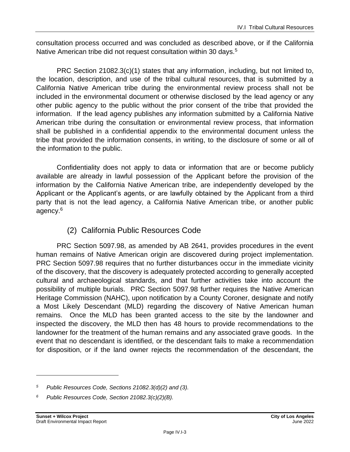consultation process occurred and was concluded as described above, or if the California Native American tribe did not request consultation within 30 days.<sup>5</sup>

PRC Section 21082.3(c)(1) states that any information, including, but not limited to, the location, description, and use of the tribal cultural resources, that is submitted by a California Native American tribe during the environmental review process shall not be included in the environmental document or otherwise disclosed by the lead agency or any other public agency to the public without the prior consent of the tribe that provided the information. If the lead agency publishes any information submitted by a California Native American tribe during the consultation or environmental review process, that information shall be published in a confidential appendix to the environmental document unless the tribe that provided the information consents, in writing, to the disclosure of some or all of the information to the public.

Confidentiality does not apply to data or information that are or become publicly available are already in lawful possession of the Applicant before the provision of the information by the California Native American tribe, are independently developed by the Applicant or the Applicant's agents, or are lawfully obtained by the Applicant from a third party that is not the lead agency, a California Native American tribe, or another public agency. 6

### (2) California Public Resources Code

PRC Section 5097.98, as amended by AB 2641, provides procedures in the event human remains of Native American origin are discovered during project implementation. PRC Section 5097.98 requires that no further disturbances occur in the immediate vicinity of the discovery, that the discovery is adequately protected according to generally accepted cultural and archaeological standards, and that further activities take into account the possibility of multiple burials. PRC Section 5097.98 further requires the Native American Heritage Commission (NAHC), upon notification by a County Coroner, designate and notify a Most Likely Descendant (MLD) regarding the discovery of Native American human remains. Once the MLD has been granted access to the site by the landowner and inspected the discovery, the MLD then has 48 hours to provide recommendations to the landowner for the treatment of the human remains and any associated grave goods. In the event that no descendant is identified, or the descendant fails to make a recommendation for disposition, or if the land owner rejects the recommendation of the descendant, the

*<sup>5</sup> Public Resources Code, Sections 21082.3(d)(2) and (3).*

*<sup>6</sup> Public Resources Code, Section 21082.3(c)(2)(B).*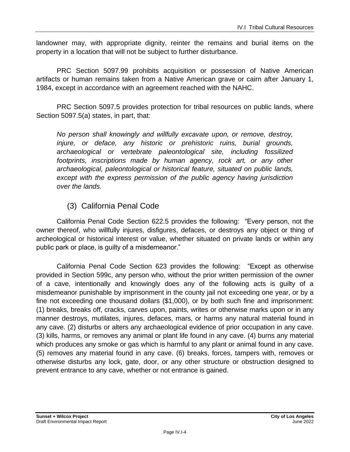landowner may, with appropriate dignity, reinter the remains and burial items on the property in a location that will not be subject to further disturbance.

PRC Section 5097.99 prohibits acquisition or possession of Native American artifacts or human remains taken from a Native American grave or cairn after January 1, 1984, except in accordance with an agreement reached with the NAHC.

PRC Section 5097.5 provides protection for tribal resources on public lands, where Section 5097.5(a) states, in part, that:

*No person shall knowingly and willfully excavate upon, or remove, destroy, injure, or deface, any historic or prehistoric ruins, burial grounds, archaeological or vertebrate paleontological site, including fossilized footprints, inscriptions made by human agency, rock art, or any other archaeological, paleontological or historical feature, situated on public lands, except with the express permission of the public agency having jurisdiction over the lands.*

#### (3) California Penal Code

California Penal Code Section 622.5 provides the following: "Every person, not the owner thereof, who willfully injures, disfigures, defaces, or destroys any object or thing of archeological or historical interest or value, whether situated on private lands or within any public park or place, is guilty of a misdemeanor."

California Penal Code Section 623 provides the following: "Except as otherwise provided in Section 599c, any person who, without the prior written permission of the owner of a cave, intentionally and knowingly does any of the following acts is guilty of a misdemeanor punishable by imprisonment in the county jail not exceeding one year, or by a fine not exceeding one thousand dollars (\$1,000), or by both such fine and imprisonment: (1) breaks, breaks off, cracks, carves upon, paints, writes or otherwise marks upon or in any manner destroys, mutilates, injures, defaces, mars, or harms any natural material found in any cave. (2) disturbs or alters any archaeological evidence of prior occupation in any cave. (3) kills, harms, or removes any animal or plant life found in any cave. (4) burns any material which produces any smoke or gas which is harmful to any plant or animal found in any cave. (5) removes any material found in any cave. (6) breaks, forces, tampers with, removes or otherwise disturbs any lock, gate, door, or any other structure or obstruction designed to prevent entrance to any cave, whether or not entrance is gained.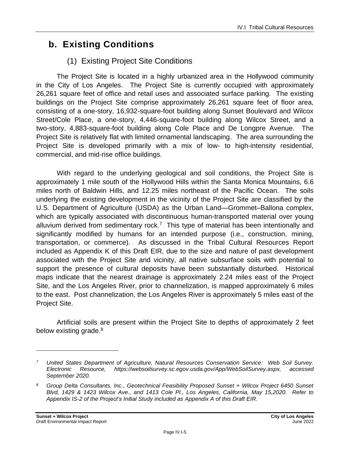# **b. Existing Conditions**

### (1) Existing Project Site Conditions

The Project Site is located in a highly urbanized area in the Hollywood community in the City of Los Angeles. The Project Site is currently occupied with approximately 26,261 square feet of office and retail uses and associated surface parking. The existing buildings on the Project Site comprise approximately 26,261 square feet of floor area, consisting of a one-story, 16,932-square-foot building along Sunset Boulevard and Wilcox Street/Cole Place, a one-story, 4,446-square-foot building along Wilcox Street, and a two-story, 4,883-square-foot building along Cole Place and De Longpre Avenue. The Project Site is relatively flat with limited ornamental landscaping. The area surrounding the Project Site is developed primarily with a mix of low- to high-intensity residential, commercial, and mid-rise office buildings.

With regard to the underlying geological and soil conditions, the Project Site is approximately 1 mile south of the Hollywood Hills within the Santa Monica Mountains, 6.6 miles north of Baldwin Hills, and 12.25 miles northeast of the Pacific Ocean. The soils underlying the existing development in the vicinity of the Project Site are classified by the U.S. Department of Agriculture (USDA) as the Urban Land—Grommet–Ballona complex, which are typically associated with discontinuous human-transported material over young alluvium derived from sedimentary rock.<sup>7</sup> This type of material has been intentionally and significantly modified by humans for an intended purpose (i.e., construction, mining, transportation, or commerce). As discussed in the Tribal Cultural Resources Report included as Appendix K of this Draft EIR, due to the size and nature of past development associated with the Project Site and vicinity, all native subsurface soils with potential to support the presence of cultural deposits have been substantially disturbed. Historical maps indicate that the nearest drainage is approximately 2.24 miles east of the Project Site, and the Los Angeles River, prior to channelization, is mapped approximately 6 miles to the east. Post channelization, the Los Angeles River is approximately 5 miles east of the Project Site.

Artificial soils are present within the Project Site to depths of approximately 2 feet below existing grade.<sup>8</sup>

*<sup>7</sup> United States Department of Agriculture, Natural Resources Conservation Service: Web Soil Survey. Electronic Resource, https://websoilsurvey.sc.egov.usda.gov/App/WebSoilSurvey.aspx, accessed September 2020.*

*<sup>8</sup> Group Delta Consultants, Inc., Geotechnical Feasibility Proposed Sunset + Wilcox Project 6450 Sunset Blvd, 1429 & 1423 Wilcox Ave., and 1413 Cole Pl., Los Angeles, California, May 15,2020. Refer to Appendix IS-2 of the Project's Initial Study included as Appendix A of this Draft EIR.*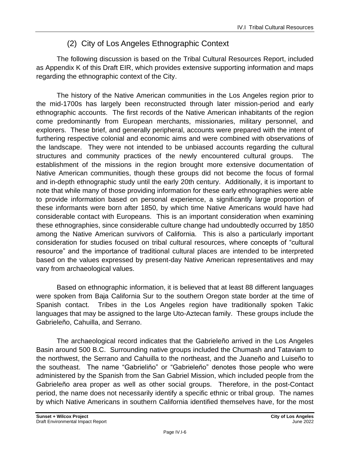### (2) City of Los Angeles Ethnographic Context

The following discussion is based on the Tribal Cultural Resources Report, included as Appendix K of this Draft EIR, which provides extensive supporting information and maps regarding the ethnographic context of the City.

The history of the Native American communities in the Los Angeles region prior to the mid-1700s has largely been reconstructed through later mission-period and early ethnographic accounts. The first records of the Native American inhabitants of the region come predominantly from European merchants, missionaries, military personnel, and explorers. These brief, and generally peripheral, accounts were prepared with the intent of furthering respective colonial and economic aims and were combined with observations of the landscape. They were not intended to be unbiased accounts regarding the cultural structures and community practices of the newly encountered cultural groups. The establishment of the missions in the region brought more extensive documentation of Native American communities, though these groups did not become the focus of formal and in-depth ethnographic study until the early 20th century. Additionally, it is important to note that while many of those providing information for these early ethnographies were able to provide information based on personal experience, a significantly large proportion of these informants were born after 1850, by which time Native Americans would have had considerable contact with Europeans. This is an important consideration when examining these ethnographies, since considerable culture change had undoubtedly occurred by 1850 among the Native American survivors of California. This is also a particularly important consideration for studies focused on tribal cultural resources, where concepts of "cultural resource" and the importance of traditional cultural places are intended to be interpreted based on the values expressed by present-day Native American representatives and may vary from archaeological values.

Based on ethnographic information, it is believed that at least 88 different languages were spoken from Baja California Sur to the southern Oregon state border at the time of Spanish contact. Tribes in the Los Angeles region have traditionally spoken Takic languages that may be assigned to the large Uto-Aztecan family. These groups include the Gabrieleño, Cahuilla, and Serrano.

The archaeological record indicates that the Gabrieleño arrived in the Los Angeles Basin around 500 B.C. Surrounding native groups included the Chumash and Tataviam to the northwest, the Serrano and Cahuilla to the northeast, and the Juaneño and Luiseño to the southeast. The name "Gabrieliño" or "Gabrieleño" denotes those people who were administered by the Spanish from the San Gabriel Mission, which included people from the Gabrieleño area proper as well as other social groups. Therefore, in the post-Contact period, the name does not necessarily identify a specific ethnic or tribal group. The names by which Native Americans in southern California identified themselves have, for the most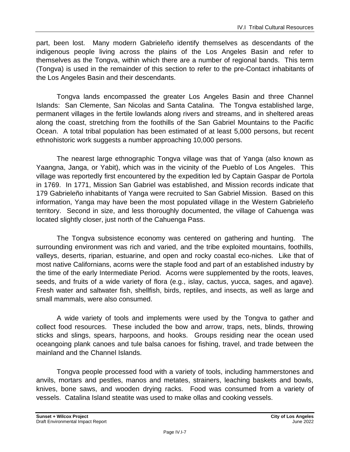part, been lost. Many modern Gabrieleño identify themselves as descendants of the indigenous people living across the plains of the Los Angeles Basin and refer to themselves as the Tongva, within which there are a number of regional bands. This term (Tongva) is used in the remainder of this section to refer to the pre-Contact inhabitants of the Los Angeles Basin and their descendants.

Tongva lands encompassed the greater Los Angeles Basin and three Channel Islands: San Clemente, San Nicolas and Santa Catalina. The Tongva established large, permanent villages in the fertile lowlands along rivers and streams, and in sheltered areas along the coast, stretching from the foothills of the San Gabriel Mountains to the Pacific Ocean. A total tribal population has been estimated of at least 5,000 persons, but recent ethnohistoric work suggests a number approaching 10,000 persons.

The nearest large ethnographic Tongva village was that of Yanga (also known as Yaangna, Janga, or Yabit), which was in the vicinity of the Pueblo of Los Angeles. This village was reportedly first encountered by the expedition led by Captain Gaspar de Portola in 1769. In 1771, Mission San Gabriel was established, and Mission records indicate that 179 Gabrieleño inhabitants of Yanga were recruited to San Gabriel Mission. Based on this information, Yanga may have been the most populated village in the Western Gabrieleño territory. Second in size, and less thoroughly documented, the village of Cahuenga was located slightly closer, just north of the Cahuenga Pass.

The Tongva subsistence economy was centered on gathering and hunting. The surrounding environment was rich and varied, and the tribe exploited mountains, foothills, valleys, deserts, riparian, estuarine, and open and rocky coastal eco-niches. Like that of most native Californians, acorns were the staple food and part of an established industry by the time of the early Intermediate Period. Acorns were supplemented by the roots, leaves, seeds, and fruits of a wide variety of flora (e.g., islay, cactus, yucca, sages, and agave). Fresh water and saltwater fish, shellfish, birds, reptiles, and insects, as well as large and small mammals, were also consumed.

A wide variety of tools and implements were used by the Tongva to gather and collect food resources. These included the bow and arrow, traps, nets, blinds, throwing sticks and slings, spears, harpoons, and hooks. Groups residing near the ocean used oceangoing plank canoes and tule balsa canoes for fishing, travel, and trade between the mainland and the Channel Islands.

Tongva people processed food with a variety of tools, including hammerstones and anvils, mortars and pestles, manos and metates, strainers, leaching baskets and bowls, knives, bone saws, and wooden drying racks. Food was consumed from a variety of vessels. Catalina Island steatite was used to make ollas and cooking vessels.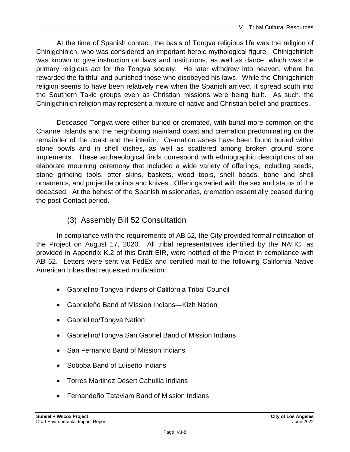At the time of Spanish contact, the basis of Tongva religious life was the religion of Chinigchinich, who was considered an important heroic mythological figure. Chinigchinich was known to give instruction on laws and institutions, as well as dance, which was the primary religious act for the Tongva society. He later withdrew into heaven, where he rewarded the faithful and punished those who disobeyed his laws. While the Chinigchinich religion seems to have been relatively new when the Spanish arrived, it spread south into the Southern Takic groups even as Christian missions were being built. As such, the Chinigchinich religion may represent a mixture of native and Christian belief and practices.

Deceased Tongva were either buried or cremated, with burial more common on the Channel Islands and the neighboring mainland coast and cremation predominating on the remainder of the coast and the interior. Cremation ashes have been found buried within stone bowls and in shell dishes, as well as scattered among broken ground stone implements. These archaeological finds correspond with ethnographic descriptions of an elaborate mourning ceremony that included a wide variety of offerings, including seeds, stone grinding tools, otter skins, baskets, wood tools, shell beads, bone and shell ornaments, and projectile points and knives. Offerings varied with the sex and status of the deceased. At the behest of the Spanish missionaries, cremation essentially ceased during the post-Contact period.

### (3) Assembly Bill 52 Consultation

In compliance with the requirements of AB 52, the City provided formal notification of the Project on August 17, 2020. All tribal representatives identified by the NAHC, as provided in Appendix K.2 of this Draft EIR, were notified of the Project in compliance with AB 52. Letters were sent via FedEx and certified mail to the following California Native American tribes that requested notification:

- Gabrielino Tongva Indians of California Tribal Council
- Gabrieleño Band of Mission Indians—Kizh Nation
- Gabrielino/Tongva Nation
- Gabrielino/Tongva San Gabriel Band of Mission Indians
- San Fernando Band of Mission Indians
- Soboba Band of Luiseño Indians
- Torres Martinez Desert Cahuilla Indians
- Fernandeño Tataviam Band of Mission Indians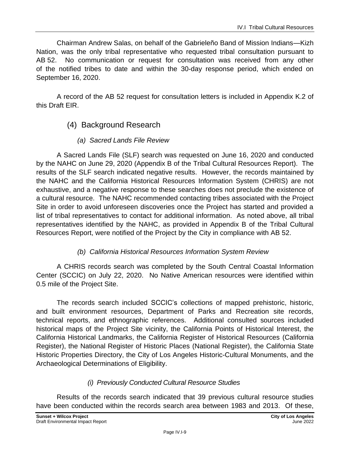Chairman Andrew Salas, on behalf of the Gabrieleño Band of Mission Indians—Kizh Nation, was the only tribal representative who requested tribal consultation pursuant to AB 52. No communication or request for consultation was received from any other of the notified tribes to date and within the 30-day response period, which ended on September 16, 2020.

A record of the AB 52 request for consultation letters is included in Appendix K.2 of this Draft EIR.

- (4) Background Research
	- *(a) Sacred Lands File Review*

A Sacred Lands File (SLF) search was requested on June 16, 2020 and conducted by the NAHC on June 29, 2020 (Appendix B of the Tribal Cultural Resources Report). The results of the SLF search indicated negative results. However, the records maintained by the NAHC and the California Historical Resources Information System (CHRIS) are not exhaustive, and a negative response to these searches does not preclude the existence of a cultural resource. The NAHC recommended contacting tribes associated with the Project Site in order to avoid unforeseen discoveries once the Project has started and provided a list of tribal representatives to contact for additional information. As noted above, all tribal representatives identified by the NAHC, as provided in Appendix B of the Tribal Cultural Resources Report, were notified of the Project by the City in compliance with AB 52.

#### *(b) California Historical Resources Information System Review*

A CHRIS records search was completed by the South Central Coastal Information Center (SCCIC) on July 22, 2020. No Native American resources were identified within 0.5 mile of the Project Site.

The records search included SCCIC's collections of mapped prehistoric, historic, and built environment resources, Department of Parks and Recreation site records, technical reports, and ethnographic references. Additional consulted sources included historical maps of the Project Site vicinity, the California Points of Historical Interest, the California Historical Landmarks, the California Register of Historical Resources (California Register), the National Register of Historic Places (National Register), the California State Historic Properties Directory, the City of Los Angeles Historic-Cultural Monuments, and the Archaeological Determinations of Eligibility.

#### *(i) Previously Conducted Cultural Resource Studies*

Results of the records search indicated that 39 previous cultural resource studies have been conducted within the records search area between 1983 and 2013. Of these,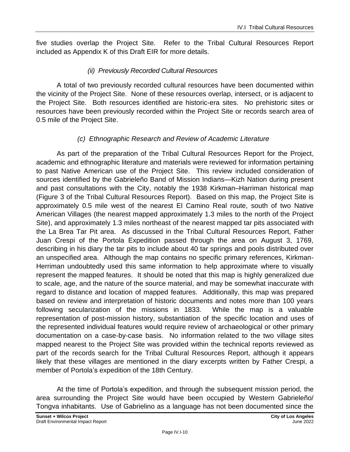five studies overlap the Project Site. Refer to the Tribal Cultural Resources Report included as Appendix K of this Draft EIR for more details.

#### *(ii) Previously Recorded Cultural Resources*

A total of two previously recorded cultural resources have been documented within the vicinity of the Project Site. None of these resources overlap, intersect, or is adjacent to the Project Site. Both resources identified are historic-era sites. No prehistoric sites or resources have been previously recorded within the Project Site or records search area of 0.5 mile of the Project Site.

#### *(c) Ethnographic Research and Review of Academic Literature*

As part of the preparation of the Tribal Cultural Resources Report for the Project, academic and ethnographic literature and materials were reviewed for information pertaining to past Native American use of the Project Site. This review included consideration of sources identified by the Gabrieleño Band of Mission Indians—Kizh Nation during present and past consultations with the City, notably the 1938 Kirkman–Harriman historical map (Figure 3 of the Tribal Cultural Resources Report). Based on this map, the Project Site is approximately 0.5 mile west of the nearest El Camino Real route, south of two Native American Villages (the nearest mapped approximately 1.3 miles to the north of the Project Site), and approximately 1.3 miles northeast of the nearest mapped tar pits associated with the La Brea Tar Pit area. As discussed in the Tribal Cultural Resources Report, Father Juan Crespi of the Portola Expedition passed through the area on August 3, 1769, describing in his diary the tar pits to include about 40 tar springs and pools distributed over an unspecified area. Although the map contains no specific primary references, Kirkman-Herriman undoubtedly used this same information to help approximate where to visually represent the mapped features. It should be noted that this map is highly generalized due to scale, age, and the nature of the source material, and may be somewhat inaccurate with regard to distance and location of mapped features. Additionally, this map was prepared based on review and interpretation of historic documents and notes more than 100 years following secularization of the missions in 1833. While the map is a valuable representation of post-mission history, substantiation of the specific location and uses of the represented individual features would require review of archaeological or other primary documentation on a case-by-case basis. No information related to the two village sites mapped nearest to the Project Site was provided within the technical reports reviewed as part of the records search for the Tribal Cultural Resources Report, although it appears likely that these villages are mentioned in the diary excerpts written by Father Crespi, a member of Portola's expedition of the 18th Century.

At the time of Portola's expedition, and through the subsequent mission period, the area surrounding the Project Site would have been occupied by Western Gabrieleño/ Tongva inhabitants. Use of Gabrielino as a language has not been documented since the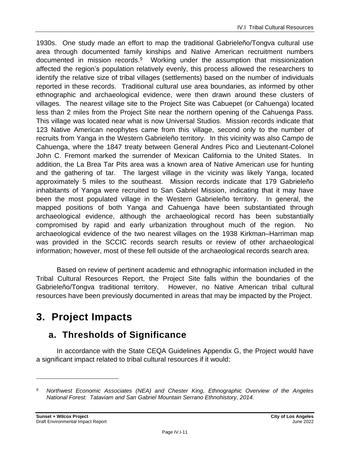1930s. One study made an effort to map the traditional Gabrieleño/Tongva cultural use area through documented family kinships and Native American recruitment numbers documented in mission records.<sup>9</sup> Working under the assumption that missionization affected the region's population relatively evenly, this process allowed the researchers to identify the relative size of tribal villages (settlements) based on the number of individuals reported in these records. Traditional cultural use area boundaries, as informed by other ethnographic and archaeological evidence, were then drawn around these clusters of villages. The nearest village site to the Project Site was Cabuepet (or Cahuenga) located less than 2 miles from the Project Site near the northern opening of the Cahuenga Pass. This village was located near what is now Universal Studios. Mission records indicate that 123 Native American neophytes came from this village, second only to the number of recruits from Yanga in the Western Gabrieleño territory. In this vicinity was also Campo de Cahuenga, where the 1847 treaty between General Andres Pico and Lieutenant-Colonel John C. Fremont marked the surrender of Mexican California to the United States. In addition, the La Brea Tar Pits area was a known area of Native American use for hunting and the gathering of tar. The largest village in the vicinity was likely Yanga, located approximately 5 miles to the southeast. Mission records indicate that 179 Gabrieleño inhabitants of Yanga were recruited to San Gabriel Mission, indicating that it may have been the most populated village in the Western Gabrieleño territory. In general, the mapped positions of both Yanga and Cahuenga have been substantiated through archaeological evidence, although the archaeological record has been substantially compromised by rapid and early urbanization throughout much of the region. No archaeological evidence of the two nearest villages on the 1938 Kirkman–Harriman map was provided in the SCCIC records search results or review of other archaeological information; however, most of these fell outside of the archaeological records search area.

Based on review of pertinent academic and ethnographic information included in the Tribal Cultural Resources Report, the Project Site falls within the boundaries of the Gabrieleño/Tongva traditional territory. However, no Native American tribal cultural resources have been previously documented in areas that may be impacted by the Project.

# **3. Project Impacts**

# **a. Thresholds of Significance**

In accordance with the State CEQA Guidelines Appendix G, the Project would have a significant impact related to tribal cultural resources if it would:

*<sup>9</sup> Northwest Economic Associates (NEA) and Chester King, Ethnographic Overview of the Angeles National Forest: Tataviam and San Gabriel Mountain Serrano Ethnohistory, 2014.*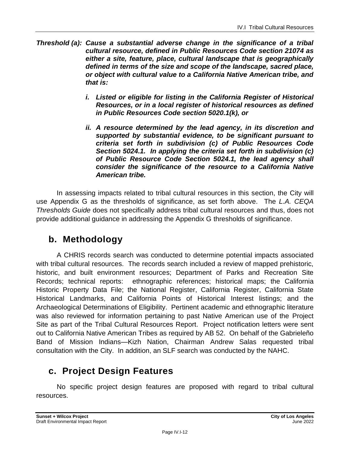- *Threshold (a): Cause a substantial adverse change in the significance of a tribal cultural resource, defined in Public Resources Code section 21074 as either a site, feature, place, cultural landscape that is geographically defined in terms of the size and scope of the landscape, sacred place, or object with cultural value to a California Native American tribe, and that is:*
	- *i. Listed or eligible for listing in the California Register of Historical Resources, or in a local register of historical resources as defined in Public Resources Code section 5020.1(k), or*
	- *ii. A resource determined by the lead agency, in its discretion and supported by substantial evidence, to be significant pursuant to criteria set forth in subdivision (c) of Public Resources Code Section 5024.1. In applying the criteria set forth in subdivision (c) of Public Resource Code Section 5024.1, the lead agency shall consider the significance of the resource to a California Native American tribe.*

In assessing impacts related to tribal cultural resources in this section, the City will use Appendix G as the thresholds of significance, as set forth above. The *L.A. CEQA Thresholds Guide* does not specifically address tribal cultural resources and thus, does not provide additional guidance in addressing the Appendix G thresholds of significance.

# **b. Methodology**

A CHRIS records search was conducted to determine potential impacts associated with tribal cultural resources. The records search included a review of mapped prehistoric, historic, and built environment resources; Department of Parks and Recreation Site Records; technical reports: ethnographic references; historical maps; the California Historic Property Data File; the National Register, California Register, California State Historical Landmarks, and California Points of Historical Interest listings; and the Archaeological Determinations of Eligibility. Pertinent academic and ethnographic literature was also reviewed for information pertaining to past Native American use of the Project Site as part of the Tribal Cultural Resources Report. Project notification letters were sent out to California Native American Tribes as required by AB 52. On behalf of the Gabrieleño Band of Mission Indians—Kizh Nation, Chairman Andrew Salas requested tribal consultation with the City. In addition, an SLF search was conducted by the NAHC.

## **c. Project Design Features**

No specific project design features are proposed with regard to tribal cultural resources.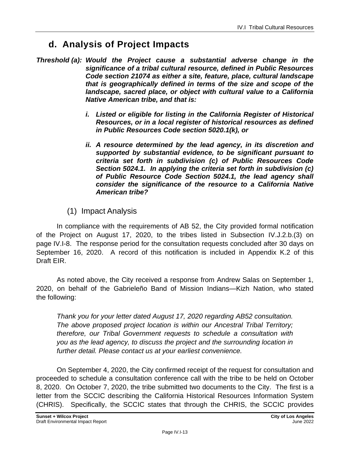# **d. Analysis of Project Impacts**

- *Threshold (a): Would the Project cause a substantial adverse change in the significance of a tribal cultural resource, defined in Public Resources Code section 21074 as either a site, feature, place, cultural landscape that is geographically defined in terms of the size and scope of the landscape, sacred place, or object with cultural value to a California Native American tribe, and that is:*
	- *i.* Listed or eligible for listing in the California Register of Historical *Resources, or in a local register of historical resources as defined in Public Resources Code section 5020.1(k), or*
	- *ii. A resource determined by the lead agency, in its discretion and supported by substantial evidence, to be significant pursuant to criteria set forth in subdivision (c) of Public Resources Code Section 5024.1. In applying the criteria set forth in subdivision (c) of Public Resource Code Section 5024.1, the lead agency shall consider the significance of the resource to a California Native American tribe?*
	- (1) Impact Analysis

In compliance with the requirements of AB 52, the City provided formal notification of the Project on August 17, 2020, to the tribes listed in Subsection IV.J.2.b.(3) on page IV.I-8. The response period for the consultation requests concluded after 30 days on September 16, 2020. A record of this notification is included in Appendix K.2 of this Draft EIR.

As noted above, the City received a response from Andrew Salas on September 1, 2020, on behalf of the Gabrieleño Band of Mission Indians—Kizh Nation, who stated the following:

*Thank you for your letter dated August 17, 2020 regarding AB52 consultation. The above proposed project location is within our Ancestral Tribal Territory; therefore, our Tribal Government requests to schedule a consultation with you as the lead agency, to discuss the project and the surrounding location in further detail. Please contact us at your earliest convenience.*

On September 4, 2020, the City confirmed receipt of the request for consultation and proceeded to schedule a consultation conference call with the tribe to be held on October 8, 2020. On October 7, 2020, the tribe submitted two documents to the City. The first is a letter from the SCCIC describing the California Historical Resources Information System (CHRIS). Specifically, the SCCIC states that through the CHRIS, the SCCIC provides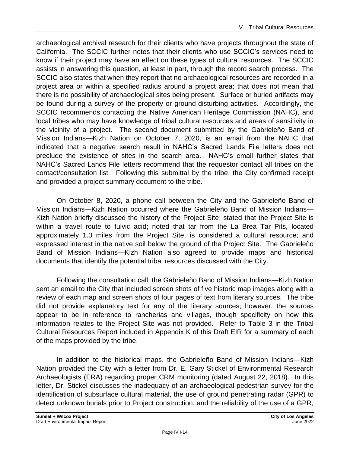archaeological archival research for their clients who have projects throughout the state of California. The SCCIC further notes that their clients who use SCCIC's services need to know if their project may have an effect on these types of cultural resources. The SCCIC assists in answering this question, at least in part, through the record search process. The SCCIC also states that when they report that no archaeological resources are recorded in a project area or within a specified radius around a project area; that does not mean that there is no possibility of archaeological sites being present. Surface or buried artifacts may be found during a survey of the property or ground-disturbing activities. Accordingly, the SCCIC recommends contacting the Native American Heritage Commission (NAHC), and local tribes who may have knowledge of tribal cultural resources and areas of sensitivity in the vicinity of a project. The second document submitted by the Gabrieleño Band of Mission Indians—Kizh Nation on October 7, 2020, is an email from the NAHC that indicated that a negative search result in NAHC's Sacred Lands File letters does not preclude the existence of sites in the search area. NAHC's email further states that NAHC's Sacred Lands File letters recommend that the requestor contact all tribes on the contact/consultation list. Following this submittal by the tribe, the City confirmed receipt and provided a project summary document to the tribe.

On October 8, 2020, a phone call between the City and the Gabrieleño Band of Mission Indians—Kizh Nation occurred where the Gabrieleño Band of Mission Indians— Kizh Nation briefly discussed the history of the Project Site; stated that the Project Site is within a travel route to fulvic acid; noted that tar from the La Brea Tar Pits, located approximately 1.3 miles from the Project Site, is considered a cultural resource; and expressed interest in the native soil below the ground of the Project Site. The Gabrieleño Band of Mission Indians—Kizh Nation also agreed to provide maps and historical documents that identify the potential tribal resources discussed with the City.

Following the consultation call, the Gabrieleño Band of Mission Indians—Kizh Nation sent an email to the City that included screen shots of five historic map images along with a review of each map and screen shots of four pages of text from literary sources. The tribe did not provide explanatory text for any of the literary sources; however, the sources appear to be in reference to rancherias and villages, though specificity on how this information relates to the Project Site was not provided. Refer to Table 3 in the Tribal Cultural Resources Report included in Appendix K of this Draft EIR for a summary of each of the maps provided by the tribe.

In addition to the historical maps, the Gabrieleño Band of Mission Indians—Kizh Nation provided the City with a letter from Dr. E. Gary Stickel of Environmental Research Archaeologists (ERA) regarding proper CRM monitoring (dated August 22, 2018). In this letter, Dr. Stickel discusses the inadequacy of an archaeological pedestrian survey for the identification of subsurface cultural material, the use of ground penetrating radar (GPR) to detect unknown burials prior to Project construction, and the reliability of the use of a GPR,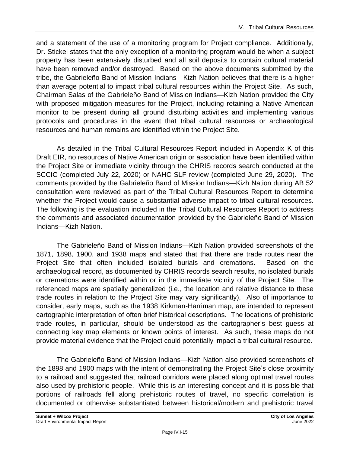and a statement of the use of a monitoring program for Project compliance. Additionally, Dr. Stickel states that the only exception of a monitoring program would be when a subject property has been extensively disturbed and all soil deposits to contain cultural material have been removed and/or destroyed. Based on the above documents submitted by the tribe, the Gabrieleño Band of Mission Indians—Kizh Nation believes that there is a higher than average potential to impact tribal cultural resources within the Project Site. As such, Chairman Salas of the Gabrieleño Band of Mission Indians—Kizh Nation provided the City with proposed mitigation measures for the Project, including retaining a Native American monitor to be present during all ground disturbing activities and implementing various protocols and procedures in the event that tribal cultural resources or archaeological resources and human remains are identified within the Project Site.

As detailed in the Tribal Cultural Resources Report included in Appendix K of this Draft EIR, no resources of Native American origin or association have been identified within the Project Site or immediate vicinity through the CHRIS records search conducted at the SCCIC (completed July 22, 2020) or NAHC SLF review (completed June 29, 2020). The comments provided by the Gabrieleño Band of Mission Indians—Kizh Nation during AB 52 consultation were reviewed as part of the Tribal Cultural Resources Report to determine whether the Project would cause a substantial adverse impact to tribal cultural resources. The following is the evaluation included in the Tribal Cultural Resources Report to address the comments and associated documentation provided by the Gabrieleño Band of Mission Indians—Kizh Nation.

The Gabrieleño Band of Mission Indians—Kizh Nation provided screenshots of the 1871, 1898, 1900, and 1938 maps and stated that that there are trade routes near the Project Site that often included isolated burials and cremations. Based on the archaeological record, as documented by CHRIS records search results, no isolated burials or cremations were identified within or in the immediate vicinity of the Project Site. The referenced maps are spatially generalized (i.e., the location and relative distance to these trade routes in relation to the Project Site may vary significantly). Also of importance to consider, early maps, such as the 1938 Kirkman-Harriman map, are intended to represent cartographic interpretation of often brief historical descriptions. The locations of prehistoric trade routes, in particular, should be understood as the cartographer's best guess at connecting key map elements or known points of interest. As such, these maps do not provide material evidence that the Project could potentially impact a tribal cultural resource.

The Gabrieleño Band of Mission Indians—Kizh Nation also provided screenshots of the 1898 and 1900 maps with the intent of demonstrating the Project Site's close proximity to a railroad and suggested that railroad corridors were placed along optimal travel routes also used by prehistoric people. While this is an interesting concept and it is possible that portions of railroads fell along prehistoric routes of travel, no specific correlation is documented or otherwise substantiated between historical/modern and prehistoric travel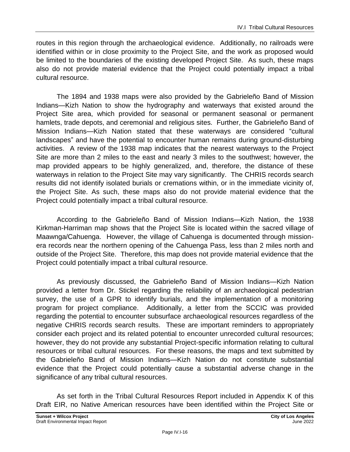routes in this region through the archaeological evidence. Additionally, no railroads were identified within or in close proximity to the Project Site, and the work as proposed would be limited to the boundaries of the existing developed Project Site. As such, these maps also do not provide material evidence that the Project could potentially impact a tribal cultural resource.

The 1894 and 1938 maps were also provided by the Gabrieleño Band of Mission Indians—Kizh Nation to show the hydrography and waterways that existed around the Project Site area, which provided for seasonal or permanent seasonal or permanent hamlets, trade depots, and ceremonial and religious sites. Further, the Gabrieleño Band of Mission Indians—Kizh Nation stated that these waterways are considered "cultural landscapes" and have the potential to encounter human remains during ground-disturbing activities. A review of the 1938 map indicates that the nearest waterways to the Project Site are more than 2 miles to the east and nearly 3 miles to the southwest; however, the map provided appears to be highly generalized, and, therefore, the distance of these waterways in relation to the Project Site may vary significantly. The CHRIS records search results did not identify isolated burials or cremations within, or in the immediate vicinity of, the Project Site. As such, these maps also do not provide material evidence that the Project could potentially impact a tribal cultural resource.

According to the Gabrieleño Band of Mission Indians—Kizh Nation, the 1938 Kirkman-Harriman map shows that the Project Site is located within the sacred village of Maawnga/Cahuenga. However, the village of Cahuenga is documented through missionera records near the northern opening of the Cahuenga Pass, less than 2 miles north and outside of the Project Site. Therefore, this map does not provide material evidence that the Project could potentially impact a tribal cultural resource.

As previously discussed, the Gabrieleño Band of Mission Indians—Kizh Nation provided a letter from Dr. Stickel regarding the reliability of an archaeological pedestrian survey, the use of a GPR to identify burials, and the implementation of a monitoring program for project compliance. Additionally, a letter from the SCCIC was provided regarding the potential to encounter subsurface archaeological resources regardless of the negative CHRIS records search results. These are important reminders to appropriately consider each project and its related potential to encounter unrecorded cultural resources; however, they do not provide any substantial Project-specific information relating to cultural resources or tribal cultural resources. For these reasons, the maps and text submitted by the Gabrieleño Band of Mission Indians—Kizh Nation do not constitute substantial evidence that the Project could potentially cause a substantial adverse change in the significance of any tribal cultural resources.

As set forth in the Tribal Cultural Resources Report included in Appendix K of this Draft EIR, no Native American resources have been identified within the Project Site or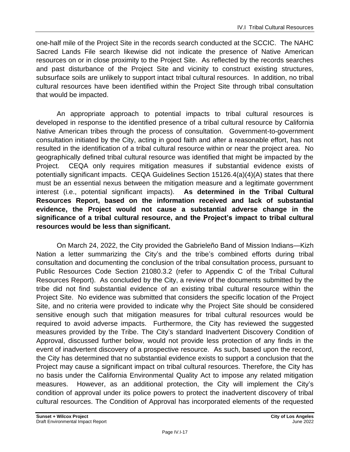one-half mile of the Project Site in the records search conducted at the SCCIC. The NAHC Sacred Lands File search likewise did not indicate the presence of Native American resources on or in close proximity to the Project Site. As reflected by the records searches and past disturbance of the Project Site and vicinity to construct existing structures, subsurface soils are unlikely to support intact tribal cultural resources. In addition, no tribal cultural resources have been identified within the Project Site through tribal consultation that would be impacted.

An appropriate approach to potential impacts to tribal cultural resources is developed in response to the identified presence of a tribal cultural resource by California Native American tribes through the process of consultation. Government-to-government consultation initiated by the City, acting in good faith and after a reasonable effort, has not resulted in the identification of a tribal cultural resource within or near the project area. No geographically defined tribal cultural resource was identified that might be impacted by the Project. CEQA only requires mitigation measures if substantial evidence exists of potentially significant impacts. CEQA Guidelines Section 15126.4(a)(4)(A) states that there must be an essential nexus between the mitigation measure and a legitimate government interest (i.e., potential significant impacts). **As determined in the Tribal Cultural Resources Report, based on the information received and lack of substantial evidence, the Project would not cause a substantial adverse change in the significance of a tribal cultural resource, and the Project's impact to tribal cultural resources would be less than significant.**

On March 24, 2022, the City provided the Gabrieleño Band of Mission Indians—Kizh Nation a letter summarizing the City's and the tribe's combined efforts during tribal consultation and documenting the conclusion of the tribal consultation process, pursuant to Public Resources Code Section 21080.3.2 (refer to Appendix C of the Tribal Cultural Resources Report). As concluded by the City, a review of the documents submitted by the tribe did not find substantial evidence of an existing tribal cultural resource within the Project Site. No evidence was submitted that considers the specific location of the Project Site, and no criteria were provided to indicate why the Project Site should be considered sensitive enough such that mitigation measures for tribal cultural resources would be required to avoid adverse impacts. Furthermore, the City has reviewed the suggested measures provided by the Tribe. The City's standard Inadvertent Discovery Condition of Approval, discussed further below, would not provide less protection of any finds in the event of inadvertent discovery of a prospective resource. As such, based upon the record, the City has determined that no substantial evidence exists to support a conclusion that the Project may cause a significant impact on tribal cultural resources. Therefore, the City has no basis under the California Environmental Quality Act to impose any related mitigation measures. However, as an additional protection, the City will implement the City's condition of approval under its police powers to protect the inadvertent discovery of tribal cultural resources. The Condition of Approval has incorporated elements of the requested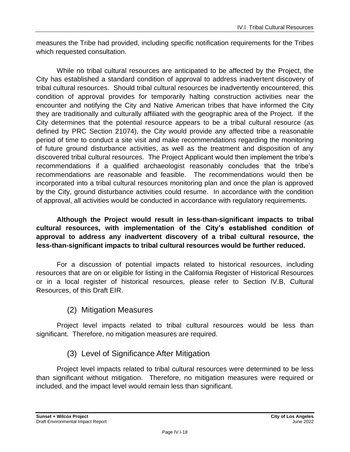measures the Tribe had provided, including specific notification requirements for the Tribes which requested consultation.

While no tribal cultural resources are anticipated to be affected by the Project, the City has established a standard condition of approval to address inadvertent discovery of tribal cultural resources. Should tribal cultural resources be inadvertently encountered, this condition of approval provides for temporarily halting construction activities near the encounter and notifying the City and Native American tribes that have informed the City they are traditionally and culturally affiliated with the geographic area of the Project. If the City determines that the potential resource appears to be a tribal cultural resource (as defined by PRC Section 21074), the City would provide any affected tribe a reasonable period of time to conduct a site visit and make recommendations regarding the monitoring of future ground disturbance activities, as well as the treatment and disposition of any discovered tribal cultural resources. The Project Applicant would then implement the tribe's recommendations if a qualified archaeologist reasonably concludes that the tribe's recommendations are reasonable and feasible. The recommendations would then be incorporated into a tribal cultural resources monitoring plan and once the plan is approved by the City, ground disturbance activities could resume. In accordance with the condition of approval, all activities would be conducted in accordance with regulatory requirements.

**Although the Project would result in less-than-significant impacts to tribal cultural resources, with implementation of the City's established condition of approval to address any inadvertent discovery of a tribal cultural resource, the less-than-significant impacts to tribal cultural resources would be further reduced.**

For a discussion of potential impacts related to historical resources, including resources that are on or eligible for listing in the California Register of Historical Resources or in a local register of historical resources, please refer to Section IV.B, Cultural Resources, of this Draft EIR.

#### (2) Mitigation Measures

Project level impacts related to tribal cultural resources would be less than significant. Therefore, no mitigation measures are required.

#### (3) Level of Significance After Mitigation

Project level impacts related to tribal cultural resources were determined to be less than significant without mitigation. Therefore, no mitigation measures were required or included, and the impact level would remain less than significant.